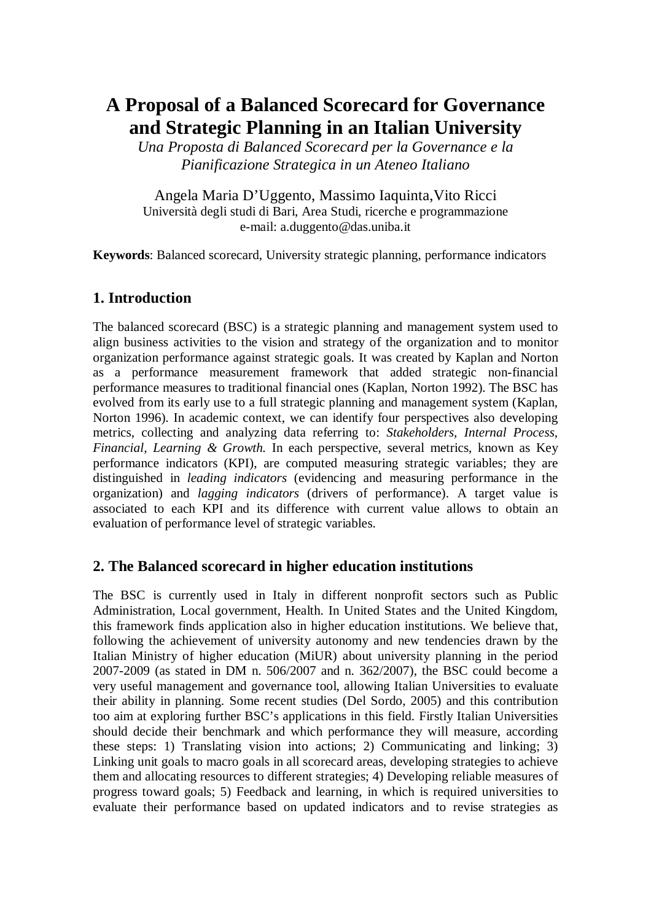# **A Proposal of a Balanced Scorecard for Governance and Strategic Planning in an Italian University**

*Una Proposta di Balanced Scorecard per la Governance e la Pianificazione Strategica in un Ateneo Italiano* 

Angela Maria D'Uggento, Massimo Iaquinta,Vito Ricci Università degli studi di Bari, Area Studi, ricerche e programmazione e-mail: a.duggento@das.uniba.it

**Keywords**: Balanced scorecard, University strategic planning, performance indicators

## **1. Introduction**

The balanced scorecard (BSC) is a strategic planning and management system used to align business activities to the vision and strategy of the organization and to monitor organization performance against strategic goals. It was created by Kaplan and Norton as a performance measurement framework that added strategic non-financial performance measures to traditional financial ones (Kaplan, Norton 1992). The BSC has evolved from its early use to a full strategic planning and management system (Kaplan, Norton 1996). In academic context, we can identify four perspectives also developing metrics, collecting and analyzing data referring to: *Stakeholders, Internal Process, Financial, Learning & Growth.* In each perspective, several metrics, known as Key performance indicators (KPI), are computed measuring strategic variables; they are distinguished in *leading indicators* (evidencing and measuring performance in the organization) and *lagging indicators* (drivers of performance). A target value is associated to each KPI and its difference with current value allows to obtain an evaluation of performance level of strategic variables.

### **2. The Balanced scorecard in higher education institutions**

The BSC is currently used in Italy in different nonprofit sectors such as Public Administration, Local government, Health. In United States and the United Kingdom, this framework finds application also in higher education institutions. We believe that, following the achievement of university autonomy and new tendencies drawn by the Italian Ministry of higher education (MiUR) about university planning in the period 2007-2009 (as stated in DM n. 506/2007 and n. 362/2007), the BSC could become a very useful management and governance tool, allowing Italian Universities to evaluate their ability in planning. Some recent studies (Del Sordo, 2005) and this contribution too aim at exploring further BSC's applications in this field. Firstly Italian Universities should decide their benchmark and which performance they will measure, according these steps: 1) Translating vision into actions; 2) Communicating and linking; 3) Linking unit goals to macro goals in all scorecard areas, developing strategies to achieve them and allocating resources to different strategies; 4) Developing reliable measures of progress toward goals; 5) Feedback and learning, in which is required universities to evaluate their performance based on updated indicators and to revise strategies as